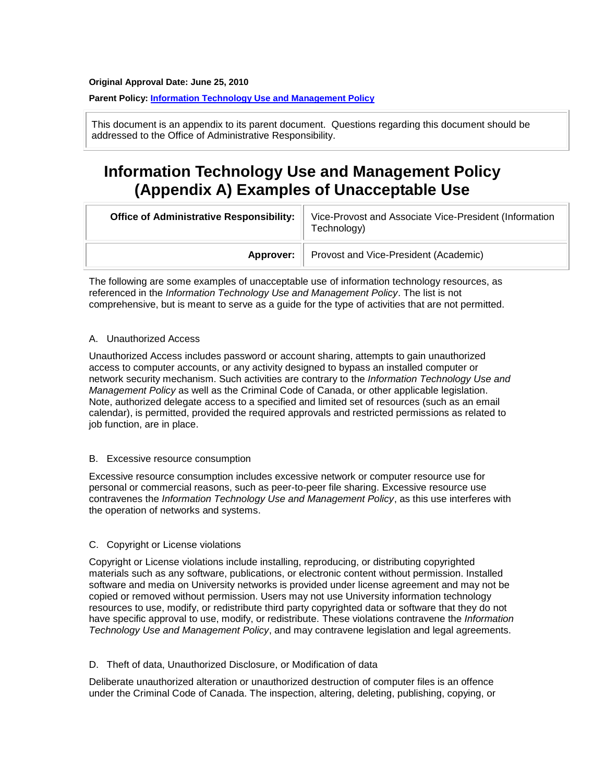#### <span id="page-0-0"></span>**Original Approval Date: June 25, 2010**

### **Parent Policy: [Information Technology Use and Management Policy](https://policiesonline.ualberta.ca/PoliciesProcedures/Policies/Information-Technology-Use-and-Management-Policy.pdf)**

This document is an appendix to its parent document. Questions regarding this document should be addressed to the Office of Administrative Responsibility.

# **Information Technology Use and Management Policy (Appendix A) Examples of Unacceptable Use**

| <b>Office of Administrative Responsibility:</b> | Vice-Provost and Associate Vice-President (Information<br>Technology) |
|-------------------------------------------------|-----------------------------------------------------------------------|
| Approver:                                       | Provost and Vice-President (Academic)                                 |

The following are some examples of unacceptable use of information technology resources, as referenced in the *Information Technology Use and Management Policy*. The list is not comprehensive, but is meant to serve as a guide for the type of activities that are not permitted.

#### A. Unauthorized Access

Unauthorized Access includes password or account sharing, attempts to gain unauthorized access to computer accounts, or any activity designed to bypass an installed computer or network security mechanism. Such activities are contrary to the *Information Technology Use and Management Policy* as well as the Criminal Code of Canada, or other applicable legislation. Note, authorized delegate access to a specified and limited set of resources (such as an email calendar), is permitted, provided the required approvals and restricted permissions as related to job function, are in place.

#### B. Excessive resource consumption

Excessive resource consumption includes excessive network or computer resource use for personal or commercial reasons, such as peer-to-peer file sharing. Excessive resource use contravenes the *Information Technology Use and Management Policy*, as this use interferes with the operation of networks and systems.

#### C. Copyright or License violations

Copyright or License violations include installing, reproducing, or distributing copyrighted materials such as any software, publications, or electronic content without permission. Installed software and media on University networks is provided under license agreement and may not be copied or removed without permission. Users may not use University information technology resources to use, modify, or redistribute third party copyrighted data or software that they do not have specific approval to use, modify, or redistribute. These violations contravene the *Information Technology Use and Management Policy*, and may contravene legislation and legal agreements.

#### D. Theft of data, Unauthorized Disclosure, or Modification of data

Deliberate unauthorized alteration or unauthorized destruction of computer files is an offence under the Criminal Code of Canada. The inspection, altering, deleting, publishing, copying, or